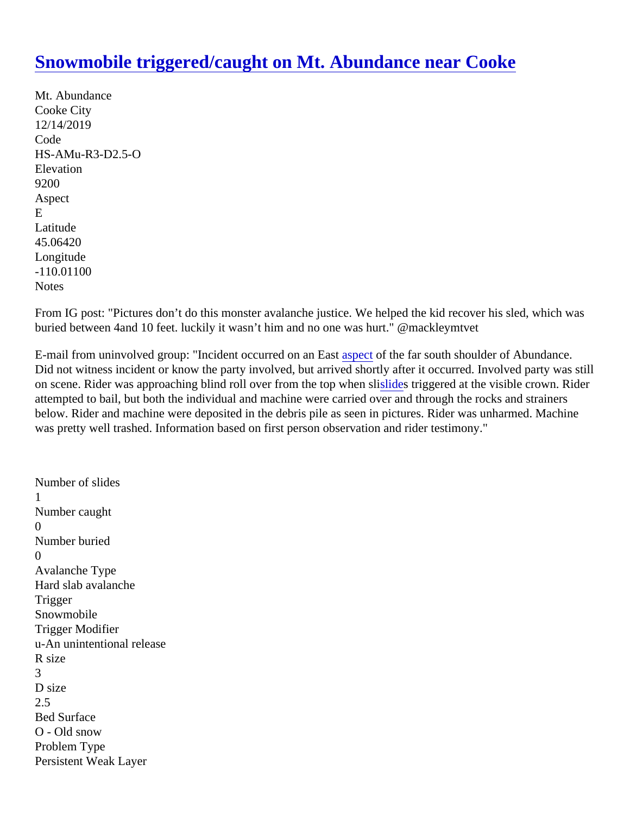## [Snowmobile triggered/caught on Mt. Abundance near Cook](https://www.mtavalanche.com/node/21222)e

Mt. Abundance Cooke City 12/14/2019 Code HS-AMu-R3-D2.5-O Elevation 9200 Aspect E Latitude 45.06420 Longitude -110.01100 **Notes** 

From IG post: "Pictures don't do this monster avalanche justice. We helped the kid recover his sled, which was buried between 4and 10 feet. luckily it wasn't him and no one was hurt." @mackleymtvet

E-mailfrom uninvolved group: "Incident occurred on an Eastectof the far south shoulder of Abundance. Did not witness incident or know the party involved, but arrived shortly after it occurred. Involved party was sti on scene. Rider was approaching blind roll over from the top whein slitriggered at the visible crown. Rider attempted to bail, but both the individual and machine were carried over and through the rocks and strainers below. Rider and machine were deposited in the debris pile as seen in pictures. Rider was unharmed. Machir was pretty well trashed. Information based on first person observation and rider testimony."

Number of slides 1 Number caught  $\Omega$ Number buried  $\Omega$ Avalanche Type Hard slab avalanche **Trigger** Snowmobile Trigger Modifier u-An unintentional release R size 3 D size 2.5 Bed Surface O - Old snow Problem Type Persistent Weak Layer